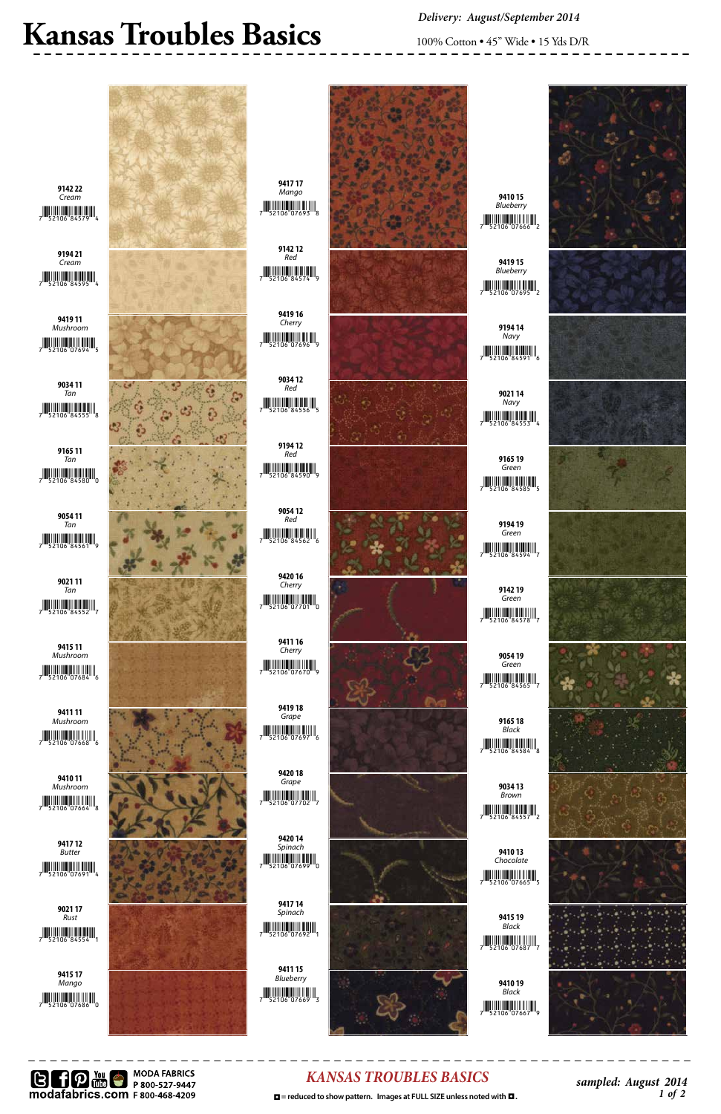





#### *KANSAS TROUBLES BASICS*

 **□** = reduced to show pattern. Images at FULL SIZE unless noted with ■.  $1 \text{ of } 2$ 

*sampled: August 2014*

# Kansas Troubles Basics 100% Cotton • 45" Wide • 15 Yds D/R

*Delivery: August/September 2014*